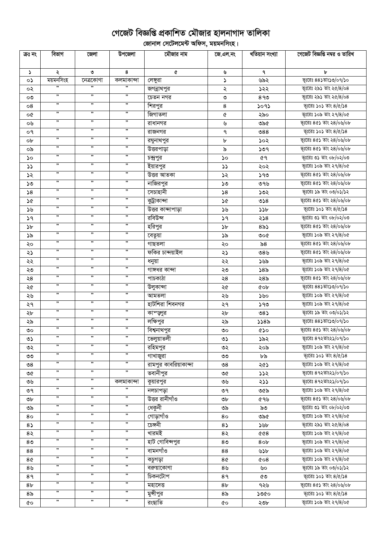## গেজেট বিজ্ঞপ্তি প্রকাশিত মৌজার হালনাগাদ তালিকা

ূলিকা<br>বিদ্যালয় সেটেলমেন্ট অফিস, ময়মনসিংহ।

| ক্ৰঃ নং        | বিভাগ                | জেলা            | উপজেলা               | মৌজার নাম             | জে.এল.নং              | খতিয়ান সংখ্যা  | গেজেট বিজ্ঞপ্তি নম্বর ও তারিখ |
|----------------|----------------------|-----------------|----------------------|-----------------------|-----------------------|-----------------|-------------------------------|
|                |                      |                 |                      |                       |                       |                 |                               |
| $\mathcal{L}$  | ২                    | ৩               | 8                    | ¢                     | ৬                     | ٩               | ৮                             |
| ০১             | ময়মনসিংহ<br>,,      | নেত্ৰকোণা<br>99 | কলমাকান্দা<br>,,     | লেঙ্গুরা              | $\blacktriangleright$ | ৬৯২             | ভূঃরেঃ ৪৪১তাং১৩/০৭/১০         |
| ০২             | ,,                   | ,,              | ,,                   | জগন্নাথপুর            | ২                     | ১২২             | ভূঃরেঃ ২৯১ তাং ২৫/8/০৪        |
| ೲ              |                      | ,,              |                      | চেতন নগর              | $\mathsf{O}$          | $89$ ୨          | ভূঃরেঃ ২৯১ তাং ২৫/৪/০৪        |
| 08             | ,,                   |                 | ,,                   | শিরপুর                | 8                     | ১০৭১            | ভূঃরেঃ ১০১ তাং $8/6/38$       |
| o¢             | ,,                   | ,,              | ,,                   | জিগাতলা               | Q                     | ২৯০             | ভূঃরেঃ ১০৯ তাং ২৭/৪/০৫        |
| ০৬             | ,,                   | ,,              | ,,                   | রাধানগর               | ৬                     | ৩৯৫             | ভূঃরেঃ ৪৫১ তাং ২৪/০৬/০৮       |
| ०१             | ,,                   | ,,              | ,,                   | রাজনগর                | ٩                     | $\mathcal{S}88$ | ভূঃরেঃ ১০১ তাং $8/\alpha/38$  |
| ob             | ,,                   | ,,              | ,,                   | রঘুনাথপুর             | b                     | ১০২             | ভূঃরেঃ ৪৫১ তাং ২৪/০৬/০৮       |
| ০৯             | $\pmb{\mathfrak{H}}$ | ,,              | ,,                   | উত্তরপাড়া            | ৯                     | ১৩৭             | ভূঃরেঃ ৪৫১ তাং ২৪/০৬/০৮       |
| ১০             | ,,                   | ,,              | ,,                   | চন্দ্রপুর             | ১০                    | ৫৭              | ভূঃরেঃ ৩১ তাং ০৮/০২/০৩        |
| ১১             | $\pmb{\mathfrak{H}}$ | ,,              | ,,                   | ইয়ারপুর              | $\mathcal{L}$         | ২০২             | ভূঃরেঃ ১০৯ তাং ২৭/৪/০৫        |
| ১২             | ,,                   | ,,              | ,,                   | উত্তর আতকা            | ১২                    | ১৭৩             | ভূঃরেঃ ৪৫১ তাং ২৪/০৬/০৮       |
| ১৩             | $\pmb{\mathfrak{y}}$ | ,               | ,,                   | নাজিরপুর              | ১৩                    | ৩৭৬             | ভূঃরেঃ ৪৫১ তাং ২৪/০৬/০৮       |
| 58             | ,,                   | ,,              | ,,                   | সেচাহানী              | 58                    | ১৩২             | ভূঃরেঃ ১৯ তাং ০৩/০১/১২        |
| ১৫             | $\pmb{\mathfrak{y}}$ | ,,              | ,                    | কুট্রাকান্দা          | ১৫                    | ৩১৪             | ভূঃরেঃ ৪৫১ তাং ২৪/০৬/০৮       |
| ১৬             | $, \,$               | ,               | $, \,$               | উত্তর কান্দাপাড়া     | ১৬                    | 32b             | ভূঃরেঃ ১০১ তাং $8/6/38$       |
| ১৭             | $\pmb{\mathfrak y}$  | ,,              | $, \,$               | রবিউন্দ               | 39                    | ২১৪             | ভূঃরেঃ ৩১ তাং ০৮/০২/০৩        |
| ১৮             | $\pmb{\mathfrak y}$  | ,,              | $, \,$               | হরিপুর                | $\mathcal{P}$         | $8\delta$ ১     | ভূঃরেঃ ৪৫১ তাং ২৪/০৬/০৮       |
| ১৯             | $\pmb{\mathfrak{y}}$ | ,,              | ,                    | বেতুয়া               | ১৯                    | ৩০৫             | ভূঃরেঃ ১০৯ তাং ২৭/৪/০৫        |
| ২০             | $\pmb{\mathfrak y}$  | ,               | $, \,$               | গাছতলা                | ২০                    | ৯৪              | ভূঃরেঃ ৪৫১ তাং ২৪/০৬/০৮       |
| ২১             | ,                    | "               | ,,                   | ফকির চান্দয়াইল       | ২১                    | ৩৪৬             | ভূঃরেঃ ৪৫১ তাং ২৪/০৬/০৮       |
| ২২             | ,                    | "               | ,,                   | ধনুয়া                | ২২                    | ১৬৯             | ভূঃরেঃ ১০৯ তাং ২৭/৪/০৫        |
| ২৩             | ,,                   | "               | ,,                   | গাঙ্গধর কান্দা        | ২৩                    | ১৪৯             | ভূঃরেঃ ১০৯ তাং ২৭/৪/০৫        |
| ২8             | $, \,$               | $, \,$          | $, \,$               | পাচকাঠা               | ২8                    | ২৪৯             | ভূঃরেঃ ৪৫১ তাং ২৪/০৬/০৮       |
| ২৫             | ,,                   | ,,              | ,,                   | উলুকান্দা             | ২৫                    | <b>COP</b>      | ভূঃরেঃ ৪৪১তাং১৩/০৭/১০         |
| ২৬             | $\pmb{\mathfrak{H}}$ | ,,              | ,,                   | আমতলা                 | ২৬                    | ১৬০             | ভূঃরেঃ ১০৯ তাং ২৭/৪/০৫        |
| ২৭             | ,,                   | ,,              | $, \,$               | হাটশিরা শিবনগর        | ২৭                    | ১৭৩             | ভূঃরেঃ ১০৯ তাং ২৭/৪/০৫        |
| ২৮             | $, \,$               | ,               | $, \,$               | কাম্জুর               | ২৮                    | $08\lambda$     | ভূঃরেঃ ১৯ তাং ০৩/০১/১২        |
| ২৯             | $\pmb{\mathfrak{H}}$ | ,,              | $, \,$               | লক্ষিপুর              | ২৯                    | ১১৪৯            | ভূঃরেঃ ৪৪১তাং১৩/০৭/১০         |
| ৩০             | $\pmb{\mathfrak{H}}$ | ,,              | $, \,$               | বিশ্বনাথপুর           | ಄                     | ৫১০             | ভূঃরেঃ ৪৫১ তাং ২৪/০৬/০৮       |
|                | ,,                   | ,,              | ,,                   | ভেলুয়াতলী            |                       |                 | ভূঃরেঃ ৪৭২তাং২১/০৭/১০         |
| ৩১<br>৩২       | ,,                   | ,,              | ,,                   | রহিমপুর               | ৩১<br>৩২              | ১৯২<br>২০৯      | ভূঃরেঃ ১০৯ তাং ২৭/৪/০৫        |
| ৩৩             | ,,                   | ,,              | ,,                   | গাখাজুরা              | ৩৩                    | ৮৯              | ভূঃরেঃ ১০১ তাং $8/\alpha/38$  |
| ల8             | ,,                   | "               | ,,                   | রামপুর কাবরিয়াকান্দা | $\mathcal{S}^{\circ}$ |                 | ভূঃরেঃ ১০৯ তাং ২৭/৪/০৫        |
|                | $, \,$               | "               | , ,                  | ভবানীপুর              |                       | ২৫১             | ভূঃরেঃ ৪৭২তাং২১/০৭/১০         |
| ৩৫             | $, \,$               | "               | কলমাকান্দা           |                       | ৩৫                    | 555             | ভূঃরেঃ ৪৭২তাং২১/০৭/১০         |
| ৩৬             | $, \,$               | ,,              | ,,                   | কুয়ারপুর             | ৩৬                    | ২১১             | ভূঃরেঃ ১০৯ তাং ২৭/৪/০৫        |
| ৩৭             | $\pmb{\mathfrak{y}}$ | ,,              | $\pmb{\mathfrak{y}}$ | নলচাপড়া              | ৩৭                    | ৩৫৯             |                               |
| ৩৮             | ,                    | "               | ,                    | উত্তর রানীগাঁও        | ৩৮                    | ৫৭৬             | ভূঃরেঃ ৪৫১ তাং ২৪/০৬/০৮       |
| ৩৯             | $\pmb{\mathfrak{y}}$ | ,,              | $, \,$               | ধেকুনী                | ৩৯                    | ৯৩              | ভূঃরেঃ ৩১ তাং ০৮/০২/০৩        |
| 80             | ,                    | ,,              | ,                    | গোড়াগাঁও             | 80                    | ৩৯৫             | ভূঃরেঃ ১০৯ তাং ২৭/৪/০৫        |
| $8\sqrt{ }$    | ,,                   | ,,              | ,,                   | চেঙ্গনী               | $8\sqrt{ }$           | ১৬৮             | ভূঃরেঃ ২৯১ তাং ২৫/৪/০৪        |
| 8२             |                      |                 |                      | খারমই                 | $8\lambda$            | &8              | ভূঃরেঃ ১০৯ তাং ২৭/৪/০৫        |
| 8 <sub>0</sub> | ,,<br>$, \,$         | 99<br>,,        | ,,                   | হাট গোবিন্দপুর        | 8 <sub>0</sub>        | 80 <sub>b</sub> | ভূঃরেঃ ১০৯ তাং ২৭/৪/০৫        |
| 88             |                      |                 | ,,                   | বামনগাঁও              | 88                    | ৬১৮             | ভূঃরেঃ ১০৯ তাং ২৭/৪/০৫        |
| 8¢             | ,,                   | ,,              | ,,                   | কচুগড়া               | 8¢                    | $\&$ 08         | ভূঃরেঃ ১০৯ তাং ২৭/৪/০৫        |
| ৪৬             | ,,                   | ,,              | ,,                   | বরুয়াকোণা            | 8 <sub>9</sub>        | ৬০              | ভূঃরেঃ ১৯ তাং ০৩/০১/১২        |
| 8१             | ,,                   | ,,              | ,,                   | চিকনটোপ               | 89                    | ৫৩              | ভূঃরেঃ ১০১ তাং $8/\alpha/38$  |
| 8৮             | ,,                   | ,,              | ,,                   | মহাদেত্ত              | 8 <sub>b</sub>        | ৭২৬             | ভূঃরেঃ ৪৫১ তাং ২৪/০৬/০৮       |
| ৪৯             | ,,                   | ,,              | ,,                   | মুন্সীপুর             | 8 <sub>o</sub>        | ১৩৫০            | ভূঃরেঃ ১০১ তাং ৪/৫/১৪         |
| ৫০             | ,,                   | "               | ,,                   | রংছাতি                | 6Q                    | ২৩৮             | ভূঃরেঃ ১০৯ তাং ২৭/৪/০৫        |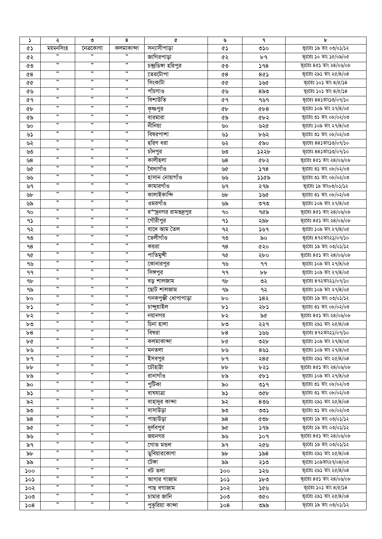| $\blacktriangleright$ | ২                    | ৩         | 8                    | ¢                     | ৬              | ٩            | b                       |
|-----------------------|----------------------|-----------|----------------------|-----------------------|----------------|--------------|-------------------------|
| ¢۵                    | ময়মনসিংহ            | নেত্ৰকোণা | কলমাকান্দা           | সন্যাসীপাড়া          | ৫১             | ৩১০          | ভূঃরেঃ ১৯ তাং ০৩/০১/১২  |
| ৫২                    | ,,                   | ,,        | ,,                   | জাগিরপাড়া            | ৫২             | ৮৭           | ভূঃরেঃ ১০ তাং ১৫/০৯/০৫  |
| ৫৩                    | $, \,$               | ,,        | $, \,$               | চন্দ্ৰডিঙ্গা হরিপুর   | ৫৩             | 98           | ভূঃরেঃ ৪৫১ তাং ২৪/০৬/০৮ |
| ৫8                    | $, \,$               | ,,        | ,,                   | তেরটোপা               | $^{\circ}$     | 8¢১          | ভূঃরেঃ ২৯১ তাং ২৫/8/০৪  |
| 66                    | $\pmb{\mathfrak y}$  | ,,        | $\pmb{\mathfrak{y}}$ | সিংকাটা               | 66             | ১৬৫          | ভূঃরেঃ ১০১ তাং ৪/৫/১৪   |
| ৫৬                    | $, \,$               | ,,        | $, \,$               | পাঁচগাও               | ৫৬             | $8\delta$ ಲಿ | ভূঃরেঃ ১০১ তাং $8/6/38$ |
| ৫৭                    | ,,                   | ,,        | , ,                  | বিশাউতি               | ৫٩             | ঀ৬ঀ          | ভূঃরেঃ ৪৪১তাং১৩/০৭/১০   |
|                       | $, \,$               | ,,        | $, \,$               |                       |                |              |                         |
| ৫৮                    | ,,                   | "         | $\pmb{\mathfrak{y}}$ | কৃষ্ণপুর              | <b>«</b>       | Qb8          | ভূঃরেঃ ১০৯ তাং ২৭/৪/০৫  |
| ৫৯                    | ,,                   | "         | ,                    | বারমারা               | ৫৯             | ৫৮২          | ভূঃরেঃ ৩১ তাং ০৮/০২/০৩  |
| ৬০                    |                      |           |                      | নীনিয়া               | ৬০             | ৬২৫          | ভূঃরেঃ ১০৯ তাং ২৭/৪/০৫  |
| ৬১                    | $, \,$               | ,,        | $\pmb{\mathfrak y}$  | বিষরপাশা              | ৬১             | ৮৬২          | ভূঃরেঃ ৩১ তাং ০৮/০২/০৩  |
| ৬২                    | $, \,$               | ,,        | $, \,$               | হরিণ ধরা              | ৬২             | ৫৯০          | ভূঃরেঃ ৪৪১তাং১৩/০৭/১০   |
| ৬৩                    | $\pmb{\mathfrak y}$  | ,         | $, \,$               | চাঁদপুর               | ৬৩             | ১২২৮         | ভূঃরেঃ ৪৪১তাং১৩/০৭/১০   |
| ৬8                    | $\pmb{\mathfrak y}$  | ,,        | , ,                  | কালীহলা               | ৬8             | ৫৮২          | ভূঃরেঃ ৪৫১ তাং ২৪/০৬/০৮ |
| ৬৫                    | $, \,$               | ,         | $\pmb{\mathfrak y}$  | বৈদ্যগাঁও             | ৬৫             | 598          | ভূঃরেঃ ৩১ তাং ০৮/০২/০৩  |
| ৬৬                    | $\pmb{\mathfrak y}$  | ,         | $, \,$               | হাসান নোয়াগাঁও       | ৬৬             | ১১৫৯         | ভূঃরেঃ ৩১ তাং ০৮/০২/০৩  |
| ৬৭                    | $\pmb{\mathfrak y}$  | ,,        | $\pmb{\mathfrak{y}}$ | কামারগাঁও             | ৬৭             | ২৭৯          | ভূঃরেঃ ১৯ তাং০৩/০১/১২   |
| ৬৮                    | $\pmb{\mathfrak{y}}$ | ,,        | ,,                   | কালাইকান্দি           | ৬৮             | ১৬৫          | ভূঃরেঃ ৩১ তাং ০৮/০২/০৩  |
| ৬৯                    | ,,                   | ,,        | ,,                   | ওমরগাঁও               | ৬৯             | ৩৭৩          | ভূঃরেঃ ১০৯ তাং ২৭/৪/০৫  |
| ٩o                    | ,,                   | ,,        | ,,                   | রর্"দ্রনগর রামভদ্রপুর | ٩o             | ৭৫৯          | ভূঃরেঃ ৪৫১ তাং ২৪/০৬/০৮ |
|                       | $\pmb{\mathfrak{y}}$ | ,,        | ,,                   | গৌরীপুর               |                |              | ভূঃরেঃ ৪৫১ তাং ২৪/০৬/০৮ |
| ۹১                    | $\pmb{\mathfrak{y}}$ | ,,        | ,,                   |                       | 95             | ২৯৮          |                         |
| ৭২                    | ,,                   | ,         | ,,                   | বাদে আম তৈল           | ৭২             | ১৬৭          | ভূঃরেঃ ১০৯ তাং ২৭/৪/০৫  |
| ৭৩                    |                      |           |                      | তেলীগাঁও              | ৭৩             | ৯০           | ভূঃরেঃ ৪৭২তাং২১/০৭/১০   |
| ٩8                    | $\pmb{\mathfrak{y}}$ | ,,        | ,,                   | কয়রা                 | ۹8             | ৫২০          | ভূঃরেঃ ১৯ তাং ০৩/০১/১২  |
| ৭৫                    | ,,                   | ,,        | ,,                   | পাতিমুন্সী            | ৭৫             | ২৮০          | ভূঃরেঃ ৪৫১ তাং ২৪/০৬/০৮ |
| ৭৬                    | $\pmb{\mathfrak{y}}$ | ,,        | ,,                   | কোনারপুর              | ৭৬             | ۹۹           | ভূঃরেঃ ১০৯ তাং ২৭/৪/০৫  |
| ۹۹                    | ,,                   | ,,        | , ,                  | সিঙ্গপুর              | ۹۹             | ৮৮           | ভূঃরেঃ ১০৯ তাং ২৭/৪/০৫  |
| 9b                    | $\pmb{\mathfrak{H}}$ | ,,        | ,,                   | বড় শালজাম            | 9 <sub>b</sub> | ৩২           | ভূঃরেঃ ৪৭২তাং২১/০৭/১০   |
| ৭৯                    | ,,                   | ,,        | ,,                   | ছোট শালজাম            | ৭৯             | ৭২           | ভূঃরেঃ ১০৯ তাং ২৭/৪/০৫  |
| bο                    | $\pmb{\mathfrak{y}}$ | ,,        | ,,                   | গনকপুঞ্জী ধোপাপাড়া   | bο             | ১৪২          | ভূঃরেঃ ১৯ তাং ০৩/০১/১২  |
| ৮১                    | , ,                  | ,,        | , ,                  | চান্দুয়াইল           | ৮১             | ২৮১          | ভূঃরেঃ ৩১ তাং ০৮/০২/০৩  |
| ৮২                    | $, \,$               | ,         | $, \,$               | নয়ানগর               | ৮২             | ৯৫           | ভূঃরেঃ ৪৫১ তাং ২৪/০৬/০৮ |
| ৮৩                    | $, \,$               | ,,        | ,,                   | চিনা হালা             | ৮৩             | ২২৭          | ভূঃরেঃ ২৯১ তাং ২৫/৪/০৪  |
| b8                    | $, \,$               | ,,        | $, \,$               | বিষরা                 | b8             | ১৬৬          | ভূঃরেঃ ৪৭২তাং২১/০৭/১০   |
|                       | $\pmb{\mathfrak{y}}$ | ,,        | , ,                  | কলমাকান্দা            |                | ৩২৮          | ভূঃরেঃ ১০৯ তাং ২৭/৪/০৫  |
| ৮৫                    | $, \,$               | ,,        | $\pmb{\mathfrak y}$  |                       | ৮৫             |              | ভূঃরেঃ ১০৯ তাং ২৭/৪/০৫  |
| ৮৬                    | $\pmb{\mathfrak{y}}$ | ,         | $, \,$               | মনতলা                 | ৮৬             | $89$ ১       |                         |
| ৮৭                    | ,,                   | ,         | "                    | ইসবপুর                | ৮৭             | ২৪৫          | ভূঃরেঃ ২৯১ তাং ২৫/৪/০৪  |
| bb.                   | ,,                   | "         | ,                    | চৌহাটা                | ৮৮             | ৮২১          | ভূঃরেঃ ৪৫১ তাং ২৪/০৬/০৮ |
| ৮৯                    |                      |           |                      | রানাগাঁও              | ৮৯             | ৫৮১          | ভূঃরেঃ ১০৯ তাং ২৭/৪/০৫  |
| ৯০                    | ,,                   | "         | ,,                   | পুটিকা                | ৯০             | ৩১৭          | ভূঃরেঃ ৩১ তাং ০৮/০২/০৩  |
| ৯১                    | ,,                   | ,,        | ,,                   | বাঘযাত্ৰা             | ৯১             | ৩৫৮          | ভূঃরেঃ ৩১ তাং ০৮/০২/০৩  |
| ৯২                    | $\pmb{\mathfrak{y}}$ | ,         | ,,                   | বাহাদুর কান্দা        | ৯২             | $8$ ৩৬       | ভূঃরেঃ ২৯১ তাং ২৫/8/০৪  |
| ৯৩                    | $\pmb{\mathfrak{y}}$ | ,,        | ,,                   | বাসাউড়া              | ৯৩             | OO           | ভূঃরেঃ ৩১ তাং ০৮/০২/০৩  |
| ৯৪                    | ,,                   | ,,        | $\pmb{\mathfrak{y}}$ | পাছাউড়া              | ৯৪             | ৫৩৮          | ভূঃরেঃ ১৯ তাং ০৩/০১/১২  |
| ৯৫                    | $\pmb{\mathfrak{y}}$ | "         | ,,                   | দুর্লবপুর             | ৯৫             | ১৭৯          | ভূঃরেঃ ১৯ তাং ০৩/০১/১২  |
| ৯৬                    | $\pmb{\mathfrak y}$  | "         |                      | জয়নগর                | ৯৬             | ১০৭          | ভূঃরেঃ ৪৫১ তাং ২৪/০৬/০৮ |
| ৯৭                    | $\pmb{\mathfrak{y}}$ | "         | ,                    | গোত মন্ডল             | ৯৭             | ২৫৬          | ভূঃরেঃ ১৯ তাং ০৩/০১/১২  |
| ৯৮                    | $, \,$               | ,,        | $\pmb{\mathfrak{y}}$ | <u>ড</u> ুবিয়ারকোণা  | ৯৮             | ১৯৪          | ভূঃরেঃ ২৯১ তাং ২৫/৪/০৪  |
| ৯৯                    | ,,                   | "         | ,,                   | টেঙ্গা                | ৯৯             | ২১৩          | ভূঃরেঃ ১০৯তাং২৭/০৪/০৫   |
|                       | $\pmb{\mathfrak y}$  | "         | , ,                  | বট তলা                |                |              | ভূঃরেঃ ২৯১ তাং ২৫/8/০৪  |
| ১০০                   | ,,                   | ,         | ,,                   |                       | ১০০            | ১২৬          | ভূঃরেঃ ৪৫১ তাং ২৪/০৬/০৮ |
| ১০১                   | $\pmb{\mathfrak{y}}$ | "         | $\pmb{\mathfrak y}$  | আগার গাজাম            | ১০১            | ১৮৩          |                         |
| ১০২                   | $\pmb{\mathfrak{y}}$ | ,         | $, \,$               | পাছ বগাজাম            | ১০২            | ১৫৬          | ভূঃরেঃ ১০১ তাং ৪/৫/১৪   |
| ১০৩                   |                      |           |                      | চামার জানি            | ১০৩            | ৩৫০          | ভূঃরেঃ ২৯১ তাং ২৫/৪/০৪  |
| ১০৪                   | ,,                   | "         | ,,                   | পুকুরিয়া কান্দা      | ১০৪            | ৩৯৯          | ভূঃরেঃ ১৯ তাং ০৩/০১/১২  |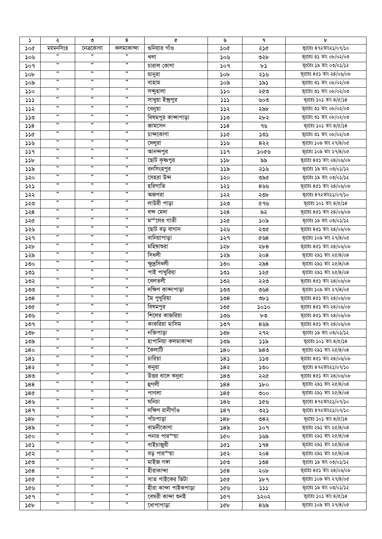| $\Delta$ | ২                    | ৩                    | 8                    | ¢                       | ৬   | ٩      | ৮                                                 |
|----------|----------------------|----------------------|----------------------|-------------------------|-----|--------|---------------------------------------------------|
| ১০৫      | ময়মনসিংহ            | নেত্ৰকোণা            | কলমাকান্দা           | ন্তনিয়ার গাঁও          | ১০৫ | ২১৫    | ভূঃরেঃ ৪৭২তাং২১/০৭/১০                             |
| ১০৬      | ,,                   | "                    | ,,                   | খলা                     | ১০৬ | ৩২৮    | ভূঃরেঃ ৩১ তাং ০৮/০২/০৩                            |
| ১০৭      | ,                    | "                    | "                    | চারাল কোণা              | 509 | ৮১     | ভূঃরেঃ ১৯ তাং ০৩/০১/১২                            |
| ১০৮      | $, \,$               | ,                    | ,                    | মানুরা                  | ১০৮ | ২১৬    | ভূঃরেঃ ৪৫১ তাং ২৪/০৬/০৮                           |
| ১০৯      | $\pmb{\mathfrak{y}}$ | ,,                   | ,,                   | বাহাম                   | ১০৯ | ১৯১    | ভূঃরেঃ ৩১ তাং ০৮/০২/০৩                            |
| ১১০      | $, \,$               | ,,                   | ,,                   | সন্দুহালা               | 350 | ২৫৩    | ভূঃরেঃ ৩১ তাং ০৮/০২/০৩                            |
| 333      | ,,                   | 99                   | "                    | সাখুয়া ইন্দ্ৰপুর       | 333 | ৬০৩    | ভূঃরেঃ ১০১ তাং ৪/৫/১৪                             |
| ১১২      | ,,                   | $\pmb{\mathfrak{y}}$ | ,,                   | বেনুয়া                 | 552 | ২৯৮    | ভূঃরেঃ ৩১ তাং ০৮/০২/০৩                            |
| ১১৩      | ,                    | "                    | ,,                   | বিষমপুর কান্দাপাড়া     | ১১৩ | ২৮২    | ভূঃরেঃ ৩১ তাং ০৮/০২/০৩                            |
| 358      | ,                    | "                    | "                    | জামসেন                  | 558 | ৭৬     | ভূঃরেঃ ১০১ তাং ৪/৫/১৪                             |
| ১১৫      | $, \,$               | ,,                   | ,,                   | চান্দকোণা               | ১১৫ | ১৩১    | ভূঃরেঃ ৩১ তাং ০৮/০২/০৩                            |
| ১১৬      | $, \,$               | ,,                   | $\pmb{\mathfrak{y}}$ | দেলুরা                  | ১১৬ | 822    | ভূঃরেঃ ১০৯ তাং ২৭/৪/০৫                            |
| 339      | ,,                   | ,,                   | ,,                   | আনন্দপুর                | 339 | ১০৫৬   | ভূঃরেঃ ১০৯ তাং ২৭/৪/০৫                            |
| ১১৮      | $, \,$               | ,,                   | ,,                   | ছোট কৃষ্ণপুর            | 32b | ৯৯     | ভূঃরেঃ ৪৫১ তাং ২৪/০৬/০৮                           |
| ১১৯      | $, \,$               | ,,                   | ,,                   | রনসিংহপুর               | ১১৯ | ২১৬    | ভূঃরেঃ ১৯ তাং ০৩/০১/১২                            |
| ১২০      | $, \,$               | ,,                   | $\pmb{\mathfrak{y}}$ | সেহরা উন্দ              | ১২০ | ৩৯৫    | ভূঃরেঃ ১৯ তাং ০৩/০১/১২                            |
| ১২১      | $, \,$               | ,,                   | ,,                   | হরিগাতি                 | ১২১ | 899    | ভূঃরেঃ ৪৫১ তাং ২৪/০৬/০৮                           |
| ১২২      | ,,                   | "                    | ,,                   | অজগরা                   | ১২২ | ২৩৮    | ভূঃরেঃ ৪৭২তাং২১/০৭/১০                             |
| ১২৩      | ,,                   | ,,                   | ,,                   | লাউরী পাড়া             | ১২৩ | ৫৭৬    | ভূঃরেঃ ১০১ তাং ৪/৫/১৪                             |
| ১২৪      | ,,                   | "                    | ,,                   | বন্দ মেদা               | 358 | ৯২     | ভূঃরেঃ ৪৫১ তাং ২৪/০৬/০৮                           |
| ১২৫      | $, \,$               | ,,                   | ,,                   | মম্লির গাতী             | ১২৫ | ১০৯    | ভূঃরেঃ ১৯ তাং ০৩/০১/১২                            |
| ১২৬      | $\pmb{\mathfrak{H}}$ | ,,                   | ,,                   | ছোট বড় বাগান           | ১২৬ |        | ভূঃরেঃ ৪৫১ তাং ২৪/০৬/০৮                           |
|          | $\pmb{\mathfrak y}$  | ,,                   | ,,                   | বানিয়াপাড়া            |     | ২৩৫    | ভূঃরেঃ ১০৯ তাং ২৭/৪/০৫                            |
| ১২৭      | $, \,$               | ,,                   | "                    | মহিষাণ্ডরা              | ১২৭ | ৫৬ $8$ | ভূঃরেঃ ৪৫১ তাং ২৪/০৬/০৮                           |
| ১২৮      | $, \,$               | ,,                   | ,                    | সিধলী                   | ১২৮ | ২৮৪    | ভূঃরেঃ ২৯১ তাং ২৫/8/০৪                            |
| ১২৯      | $, \,$               | ,,                   | "                    | ক্ষুদ্রসিধলী            | ১২৯ | ২০৪    | ভূঃরেঃ ২৯১ তাং ২৫/8/০৪                            |
| ১৩০      | ,,                   | ,,                   | ,,                   |                         | ১৩০ | ২৯৪    | ভূঃরেঃ ২৯১ তাং ২৫/8/০৪                            |
| ১৩১      | $, \,$               | ,,                   | $\pmb{\mathfrak{y}}$ | পাই পাখুরিয়া<br>বেলতলী | ১৩১ | ১২৫    |                                                   |
| ১৩২      | ,,                   | ,,                   | ,,                   | দক্ষিণ কান্দাপাড়া      | ১৩২ | ২২৩    | ভূঃরেঃ ৪৫১ তাং ২৪/০৬/০৮<br>ভূঃরেঃ ১০৯ তাং ২৭/৪/০৫ |
| ১৩৩      | $\pmb{\mathfrak y}$  | ,,                   | ,,                   |                         | ১৩৩ | ৩৬৪    |                                                   |
| ১৩৪      | ,,                   | ,,                   | ,,                   | মৈ পুখুরিয়া            | ১৩৪ | ৩৮১    | ভূঃরেঃ ৪৫১ তাং ২৪/০৬/০৮                           |
| ১৩৫      | ,,                   | ,,                   | ,,                   | বিষমপুর                 | ১৩৫ | ১০১০   | ভূঃরেঃ ৪৫১ তাং ২৪/০৬/০৮                           |
| ১৩৬      | ,,                   | ,,                   | ,,                   | শিলের কাজরিয়া          | ১৩৬ | ৮৩     | ভূঃরেঃ ৪৫১ তাং ২৪/০৬/০৮                           |
| ১৩৭      | $, \,$               | ,,                   | ,,                   | কাকরিয়া মাসিম          | ১৩৭ | ৪৬৯    | ভূঃরেঃ ৪৫১ তাং ২৪/০৬/০৮                           |
| ১৩৮      | ,,                   | ,,                   | ,,                   | নক্তিপাড়া              | ১৩৮ | ২৭২    | ভূঃরেঃ ১৯ তাং ০৩/০১/১২                            |
| ১৩৯      | ,,                   | ,,                   | ,,                   | হাপানিয়া কলমাকান্দা    | ১৩৯ | ১১৯    | ভূঃরেঃ ১০১ তাং $8/\alpha/38$                      |
| ১৪০      | ,,                   | ,,                   | ,,                   | কৈলাটি                  | ১৪০ | ৯৪৩    | ভূঃরেঃ ২৯১ তাং ২৫/8/০৪                            |
| 585      | ,                    | "                    | ,,                   | চারিয়া                 | 585 | 550    | ভূঃরেঃ ৪৫১ তাং ২৪/০৬/০৮                           |
| ১৪২      | ,,                   | ,,                   | ,,                   | কনুরা                   | ১৪২ | ১৩০    | ভূঃরেঃ ৪৭২তাং২১/০৭/১০                             |
| ১৪৩      |                      |                      |                      | উত্তর বাদে কনুরা        | ১৪৩ | ২২৫    | ভূঃরেঃ ৪৫১ তাং ২৪/০৬/০৮                           |
| 588      | ,,<br>$, \,$         | "<br>,               | ,,<br>,,             | হুগলী                   | 588 | ১৮০    | ভূঃরেঃ ২৯১ তাং ২৫/8/০৪                            |
| ১৪৫      |                      |                      |                      | পাগলা                   | 286 | ৩০০    | ভূঃরেঃ ২৯১ তাং ২৫/8/০৪                            |
| ১৪৬      | $\pmb{\mathfrak y}$  | ,                    | ,,                   | ঘনিচা                   | ১৪৬ | ১৫৬    | ভূঃরেঃ ৪৭২তাং২১/০৭/১০                             |
| 589      | $, \,$               | , ,                  | ,,                   | দক্ষিণ রানীগাঁও         | 589 | ৩২১    | ভূঃরেঃ ৪৭২তাং২১/০৭/১০                             |
| ১৪৮      | $, \,$               | , ,                  | ,,                   | পাঁচপাড়া               | 58b | ৩৪২    | ভূঃরেঃ ১০১ তাং ৪/৫/১৪                             |
| ১৪৯      | $\pmb{\mathfrak y}$  | ,                    | ,,                   | বামনীকোণা               | ১৪৯ | ১০৭    | ভূঃরেঃ ২৯১ তাং ২৫/8/০৪                            |
| ১৫০      | $\pmb{\mathfrak y}$  | ,                    | ,,                   | পনার পারর্"য়া          | ১৫০ | ১৬৯    | ভূঃরেঃ ২৯১ তাং ২৫/8/০৪                            |
| ১৫১      | ,,                   | "                    | ,,                   | বাইচাজুরী               | ১৫১ | 598    | ভূঃরেঃ ২৯১ তাং ২৫/8/০৪                            |
| ১৫২      | $\pmb{\mathfrak{y}}$ | ,                    | ,,                   | বড় পার৺য়া             | ১৫২ | ২০৪    | ভূঃরেঃ ২৯১ তাং ২৫/8/০৪                            |
| ১৫৩      | ,,                   | "                    | "                    | মাইজ গঙ্গা              | ১৫৩ | 508    | ভূঃরেঃ ১৯ তাং ০৩/০১/১২                            |
| ১৫৪      | $\pmb{\mathfrak y}$  | "                    | ,,                   | হীরাকান্দা              | 80< | ২০৮    | ভূঃরেঃ ৪৫১ তাং ২৪/০৬/০৮                           |
| ১৫৫      | ,,                   | "                    | ,,                   | সাত পাইকের ভিটা         | 236 | ১৮৭    | ভূঃরেঃ ১০৯ তাং ২৭/৪/০৫                            |
| ১৫৬      | $, \,$               | "                    | ,,                   | হীরা কান্দা পাইকপাড়া   | ১৫৬ | 333    | ভূঃরেঃ ১৯ তাং ০৩/০১/১২                            |
| ১৫৭      | $\pmb{\mathfrak y}$  | ,                    | "                    | বেঘরী কান্দা শুনই       | ১৫৭ | ১২০২   | ভূঃরেঃ ১০১ তাং ৪/৫/১৪                             |
| ১৫৮      | ,,                   | ,,                   | ,,                   | ধোপাপাড়া               | ১৫৮ | ৪৬৯    | ভূঃরেঃ ১০৯ তাং ২৭/৪/০৫                            |
|          |                      |                      |                      |                         |     |        |                                                   |